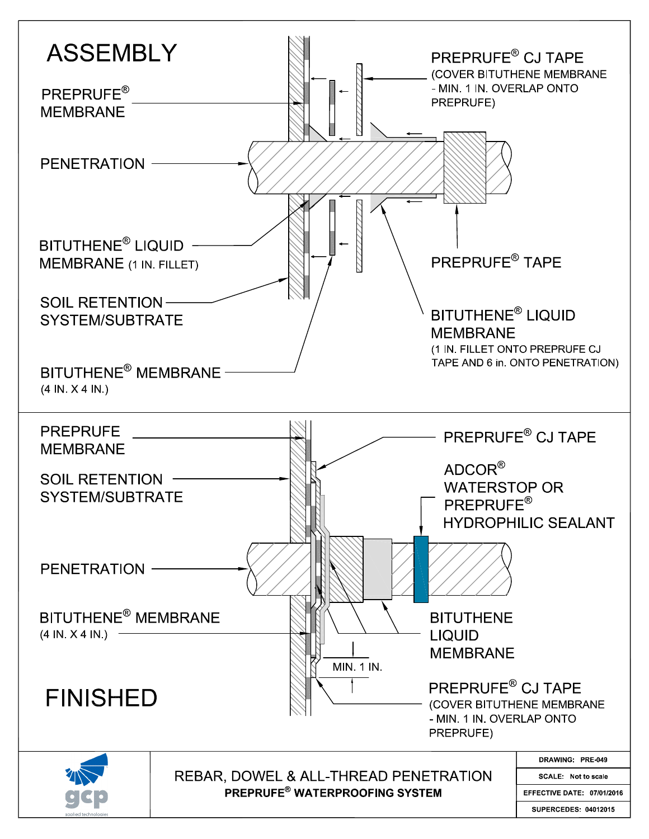